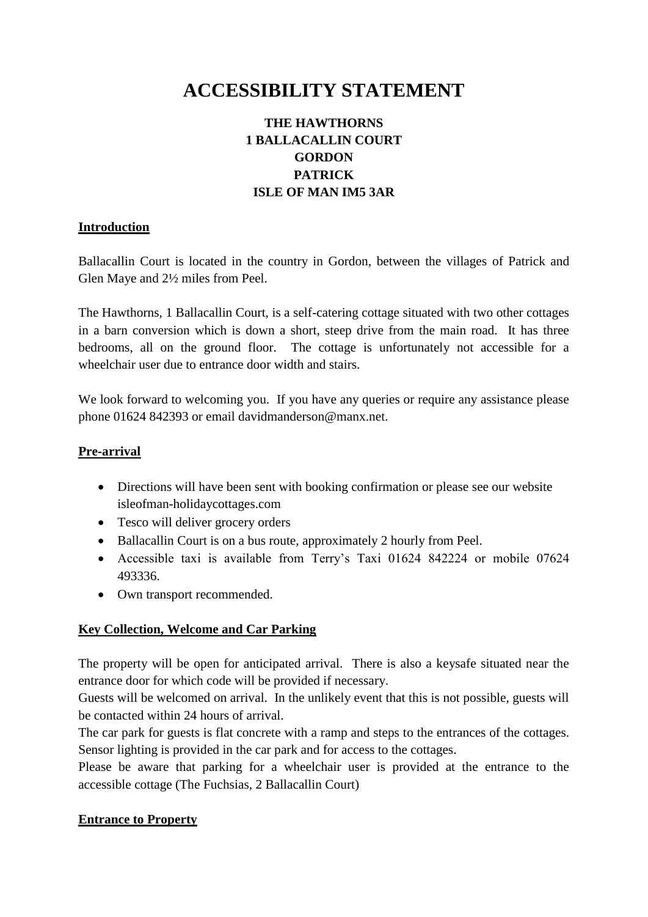# **ACCESSIBILITY STATEMENT**

## **THE HAWTHORNS 1 BALLACALLIN COURT GORDON PATRICK ISLE OF MAN IM5 3AR**

## **Introduction**

Ballacallin Court is located in the country in Gordon, between the villages of Patrick and Glen Maye and 2½ miles from Peel.

The Hawthorns, 1 Ballacallin Court, is a self-catering cottage situated with two other cottages in a barn conversion which is down a short, steep drive from the main road. It has three bedrooms, all on the ground floor. The cottage is unfortunately not accessible for a wheelchair user due to entrance door width and stairs.

We look forward to welcoming you. If you have any queries or require any assistance please phone 01624 842393 or email davidmanderson@manx.net.

## **Pre-arrival**

- Directions will have been sent with booking confirmation or please see our website isleofman-holidaycottages.com
- Tesco will deliver grocery orders
- Ballacallin Court is on a bus route, approximately 2 hourly from Peel.
- Accessible taxi is available from Terry's Taxi 01624 842224 or mobile 07624 493336.
- Own transport recommended.

## **Key Collection, Welcome and Car Parking**

The property will be open for anticipated arrival. There is also a keysafe situated near the entrance door for which code will be provided if necessary.

Guests will be welcomed on arrival. In the unlikely event that this is not possible, guests will be contacted within 24 hours of arrival.

The car park for guests is flat concrete with a ramp and steps to the entrances of the cottages. Sensor lighting is provided in the car park and for access to the cottages.

Please be aware that parking for a wheelchair user is provided at the entrance to the accessible cottage (The Fuchsias, 2 Ballacallin Court)

## **Entrance to Property**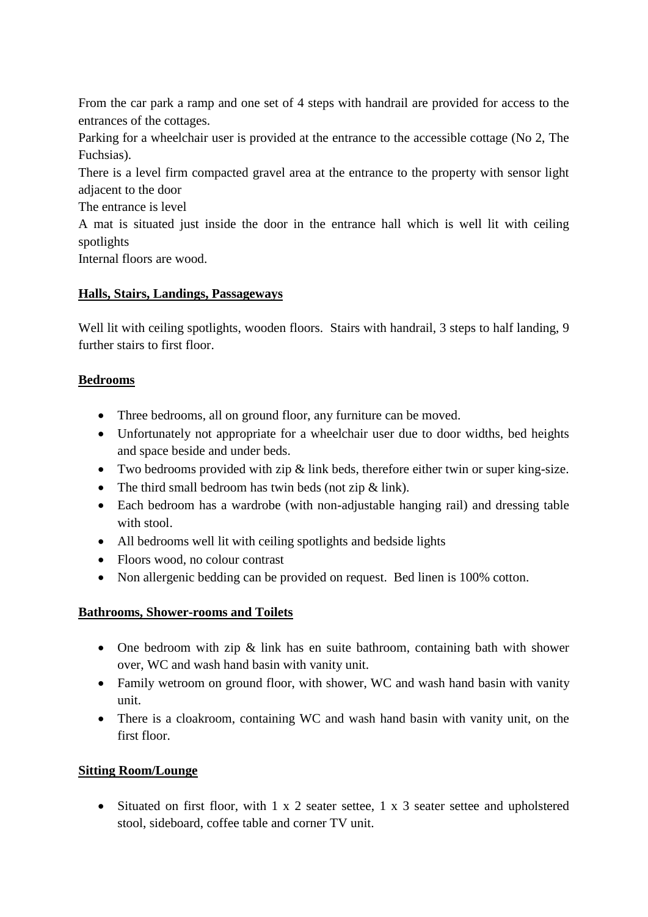From the car park a ramp and one set of 4 steps with handrail are provided for access to the entrances of the cottages.

Parking for a wheelchair user is provided at the entrance to the accessible cottage (No 2, The Fuchsias).

There is a level firm compacted gravel area at the entrance to the property with sensor light adjacent to the door

The entrance is level

A mat is situated just inside the door in the entrance hall which is well lit with ceiling spotlights

Internal floors are wood.

## **Halls, Stairs, Landings, Passageways**

Well lit with ceiling spotlights, wooden floors. Stairs with handrail, 3 steps to half landing, 9 further stairs to first floor.

## **Bedrooms**

- Three bedrooms, all on ground floor, any furniture can be moved.
- Unfortunately not appropriate for a wheelchair user due to door widths, bed heights and space beside and under beds.
- Two bedrooms provided with zip & link beds, therefore either twin or super king-size.
- The third small bedroom has twin beds (not zip  $&$  link).
- Each bedroom has a wardrobe (with non-adjustable hanging rail) and dressing table with stool.
- All bedrooms well lit with ceiling spotlights and bedside lights
- Floors wood, no colour contrast
- Non allergenic bedding can be provided on request. Bed linen is 100% cotton.

## **Bathrooms, Shower-rooms and Toilets**

- One bedroom with zip & link has en suite bathroom, containing bath with shower over, WC and wash hand basin with vanity unit.
- Family wetroom on ground floor, with shower, WC and wash hand basin with vanity unit.
- There is a cloakroom, containing WC and wash hand basin with vanity unit, on the first floor.

## **Sitting Room/Lounge**

• Situated on first floor, with 1 x 2 seater settee, 1 x 3 seater settee and upholstered stool, sideboard, coffee table and corner TV unit.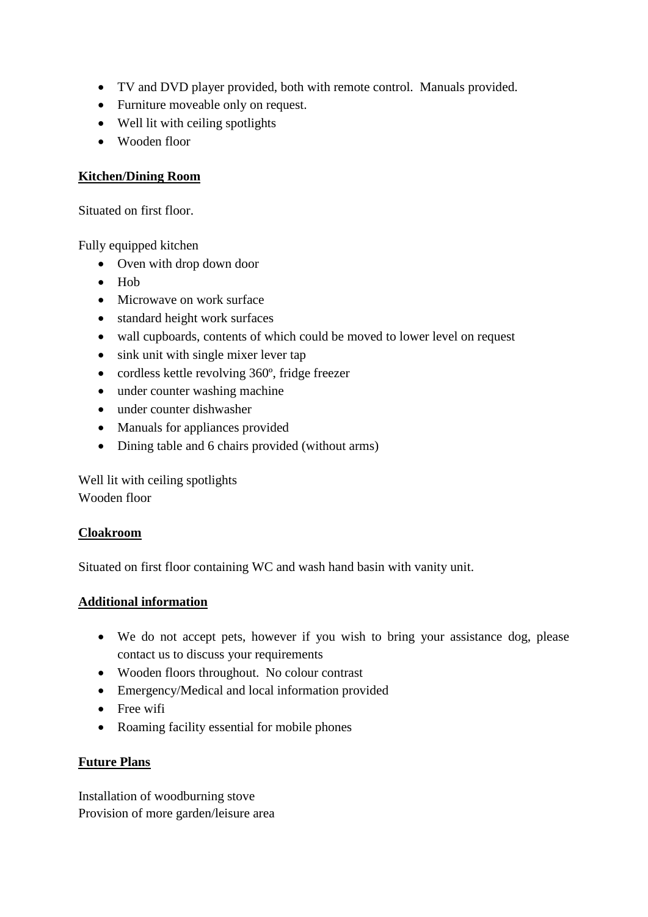- TV and DVD player provided, both with remote control. Manuals provided.
- Furniture moveable only on request.
- Well lit with ceiling spotlights
- Wooden floor

## **Kitchen/Dining Room**

Situated on first floor.

Fully equipped kitchen

- Oven with drop down door
- $\bullet$  Hob
- Microwave on work surface
- standard height work surfaces
- wall cupboards, contents of which could be moved to lower level on request
- sink unit with single mixer lever tap
- cordless kettle revolving 360°, fridge freezer
- under counter washing machine
- under counter dishwasher
- Manuals for appliances provided
- Dining table and 6 chairs provided (without arms)

Well lit with ceiling spotlights Wooden floor

## **Cloakroom**

Situated on first floor containing WC and wash hand basin with vanity unit.

## **Additional information**

- We do not accept pets, however if you wish to bring your assistance dog, please contact us to discuss your requirements
- Wooden floors throughout. No colour contrast
- Emergency/Medical and local information provided
- Free wifi
- Roaming facility essential for mobile phones

## **Future Plans**

Installation of woodburning stove Provision of more garden/leisure area